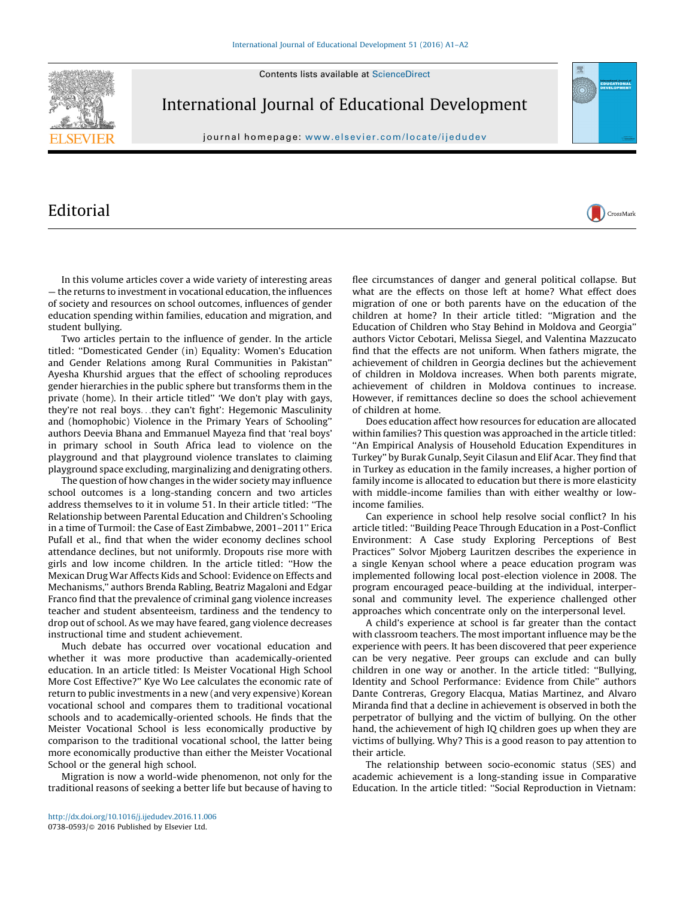Contents lists available at [ScienceDirect](http://www.sciencedirect.com/science/journal/07380593)



International Journal of Educational Development

journal homepage: <www.elsevier.com/locate/ijedudev>

## Editorial

In this volume articles cover a wide variety of interesting areas — the returns to investment in vocational education, the influences of society and resources on school outcomes, influences of gender education spending within families, education and migration, and student bullying.

Two articles pertain to the influence of gender. In the article titled: ''Domesticated Gender (in) Equality: Women's Education and Gender Relations among Rural Communities in Pakistan'' Ayesha Khurshid argues that the effect of schooling reproduces gender hierarchies in the public sphere but transforms them in the private (home). In their article titled'' 'We don't play with gays, they're not real boys...they can't fight': Hegemonic Masculinity and (homophobic) Violence in the Primary Years of Schooling'' authors Deevia Bhana and Emmanuel Mayeza find that 'real boys' in primary school in South Africa lead to violence on the playground and that playground violence translates to claiming playground space excluding, marginalizing and denigrating others.

The question of how changes in the wider society may influence school outcomes is a long-standing concern and two articles address themselves to it in volume 51. In their article titled: ''The Relationship between Parental Education and Children's Schooling in a time of Turmoil: the Case of East Zimbabwe, 2001–2011'' Erica Pufall et al., find that when the wider economy declines school attendance declines, but not uniformly. Dropouts rise more with girls and low income children. In the article titled: ''How the Mexican Drug War Affects Kids and School: Evidence on Effects and Mechanisms,'' authors Brenda Rabling, Beatriz Magaloni and Edgar Franco find that the prevalence of criminal gang violence increases teacher and student absenteeism, tardiness and the tendency to drop out of school. As we may have feared, gang violence decreases instructional time and student achievement.

Much debate has occurred over vocational education and whether it was more productive than academically-oriented education. In an article titled: Is Meister Vocational High School More Cost Effective?'' Kye Wo Lee calculates the economic rate of return to public investments in a new (and very expensive) Korean vocational school and compares them to traditional vocational schools and to academically-oriented schools. He finds that the Meister Vocational School is less economically productive by comparison to the traditional vocational school, the latter being more economically productive than either the Meister Vocational School or the general high school.

Migration is now a world-wide phenomenon, not only for the traditional reasons of seeking a better life but because of having to flee circumstances of danger and general political collapse. But what are the effects on those left at home? What effect does migration of one or both parents have on the education of the children at home? In their article titled: ''Migration and the Education of Children who Stay Behind in Moldova and Georgia'' authors Victor Cebotari, Melissa Siegel, and Valentina Mazzucato find that the effects are not uniform. When fathers migrate, the achievement of children in Georgia declines but the achievement of children in Moldova increases. When both parents migrate, achievement of children in Moldova continues to increase. However, if remittances decline so does the school achievement of children at home.

CrossMark

Does education affect how resources for education are allocated within families? This question was approached in the article titled: ''An Empirical Analysis of Household Education Expenditures in Turkey'' by Burak Gunalp, Seyit Cilasun and Elif Acar. They find that in Turkey as education in the family increases, a higher portion of family income is allocated to education but there is more elasticity with middle-income families than with either wealthy or lowincome families.

Can experience in school help resolve social conflict? In his article titled: ''Building Peace Through Education in a Post-Conflict Environment: A Case study Exploring Perceptions of Best Practices'' Solvor Mjoberg Lauritzen describes the experience in a single Kenyan school where a peace education program was implemented following local post-election violence in 2008. The program encouraged peace-building at the individual, interpersonal and community level. The experience challenged other approaches which concentrate only on the interpersonal level.

A child's experience at school is far greater than the contact with classroom teachers. The most important influence may be the experience with peers. It has been discovered that peer experience can be very negative. Peer groups can exclude and can bully children in one way or another. In the article titled: ''Bullying, Identity and School Performance: Evidence from Chile'' authors Dante Contreras, Gregory Elacqua, Matias Martinez, and Alvaro Miranda find that a decline in achievement is observed in both the perpetrator of bullying and the victim of bullying. On the other hand, the achievement of high IQ children goes up when they are victims of bullying. Why? This is a good reason to pay attention to their article.

The relationship between socio-economic status (SES) and academic achievement is a long-standing issue in Comparative Education. In the article titled: ''Social Reproduction in Vietnam: